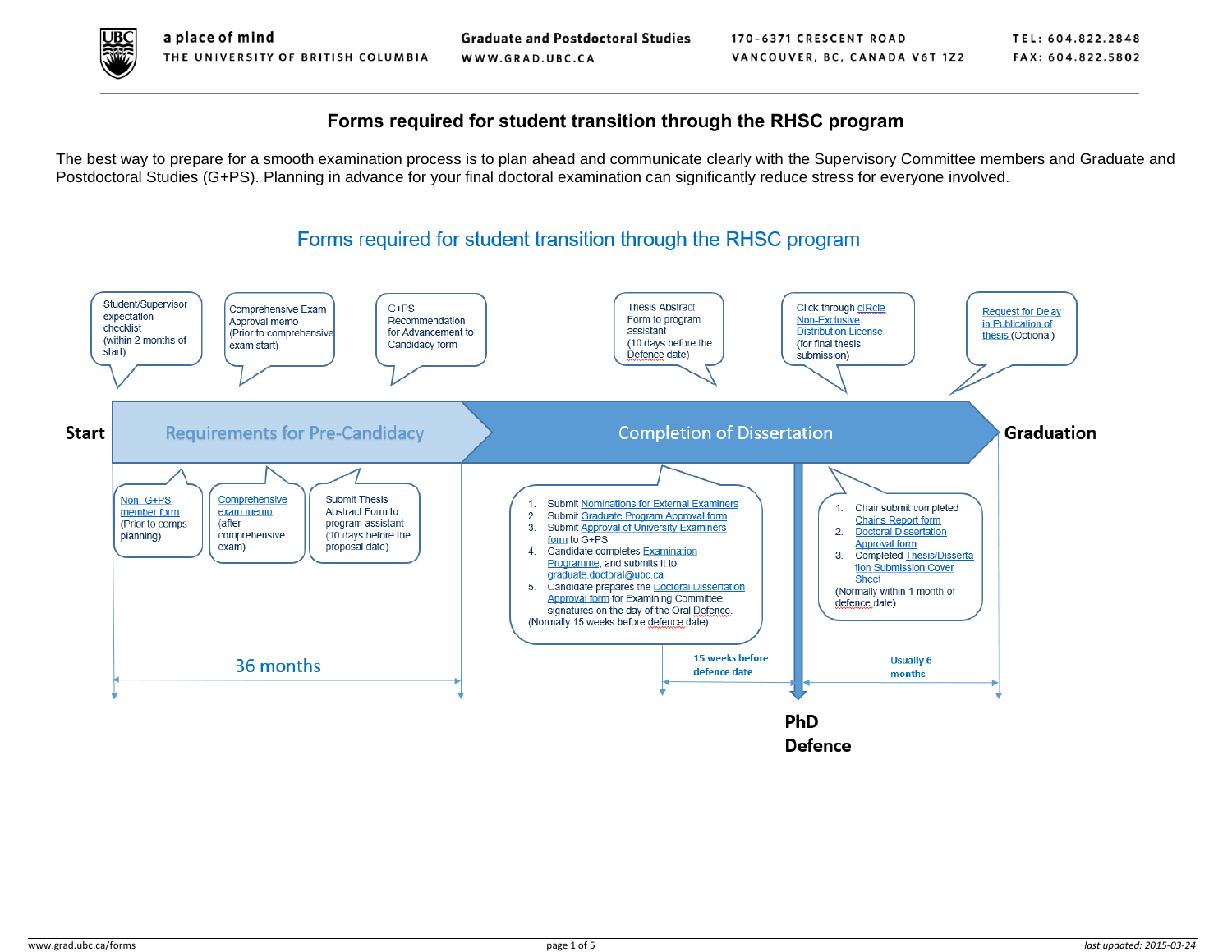

## **Forms required for student transition through the RHSC program**

The best way to prepare for a smooth examination process is to plan ahead and communicate clearly with the Supervisory Committee members and Graduate and Postdoctoral Studies (G+PS). Planning in advance for your final doctoral examination can significantly reduce stress for everyone involved.

## Forms required for student transition through the RHSC program

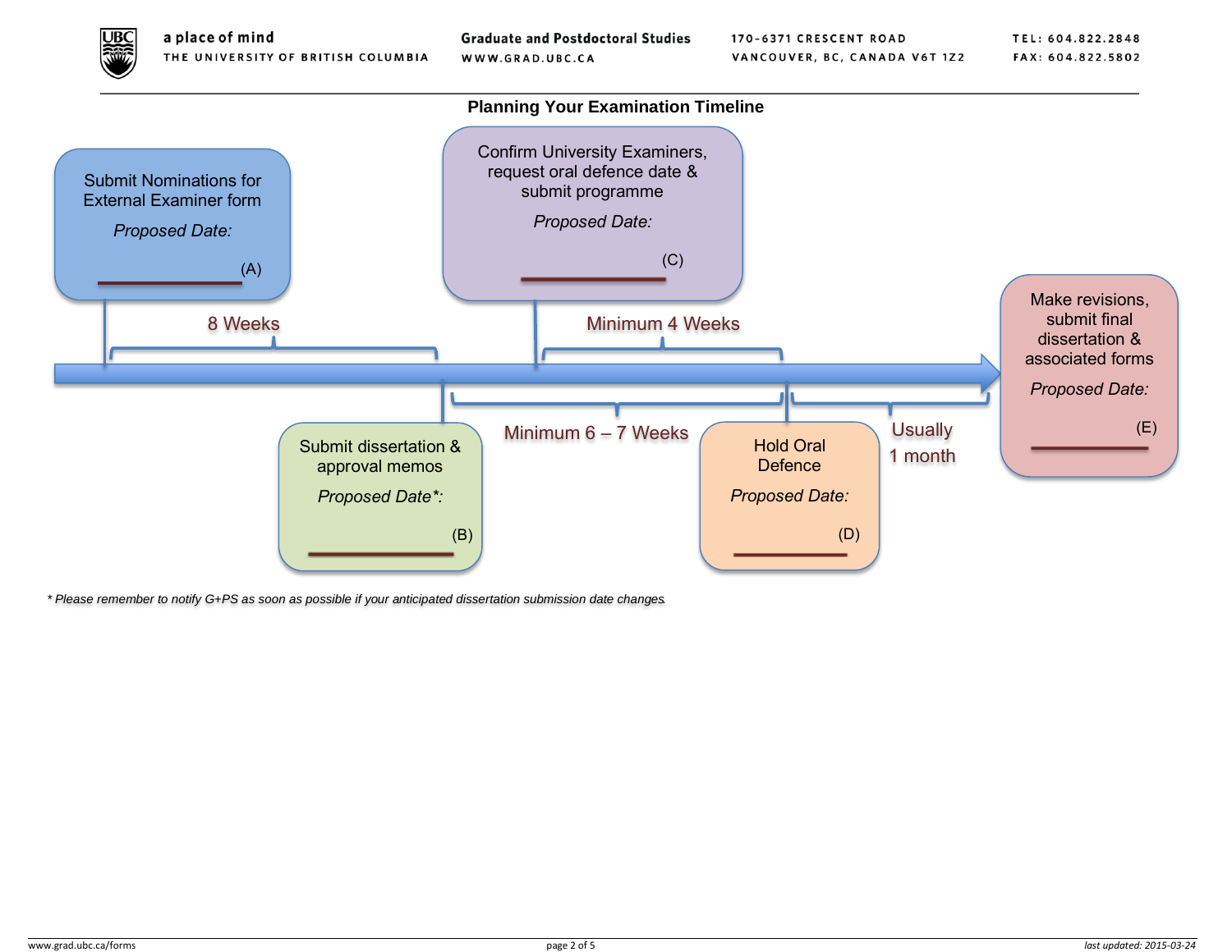

**Graduate and Postdoctoral Studies** WWW.GRAD.UBC.CA



*\* Please remember to notify G+PS as soon as possible if your anticipated dissertation submission date changes.*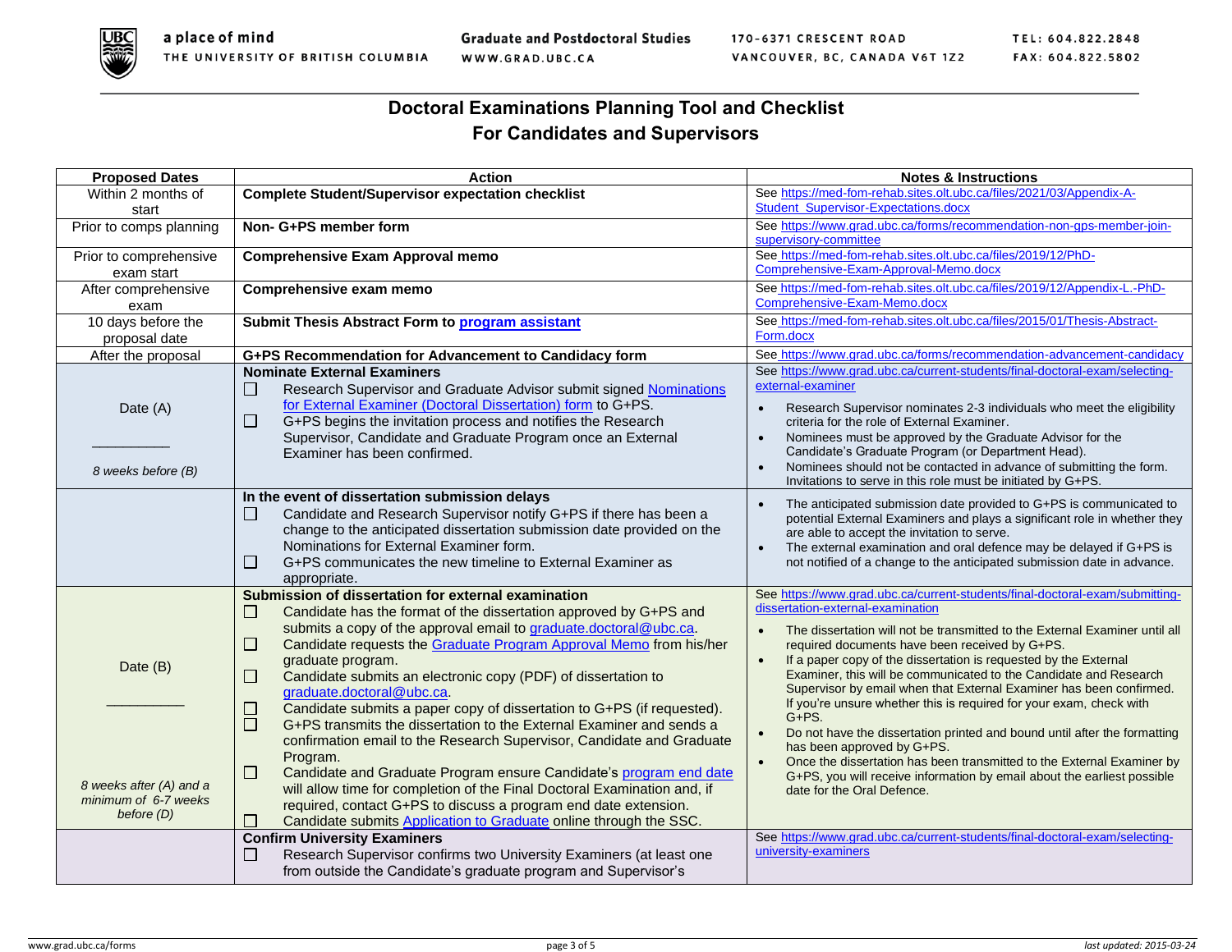

**Graduate and Postdoctoral Studies** WWW.GRAD.UBC.CA

170-6371 CRESCENT ROAD VANCOUVER, BC, CANADA V6T 1Z2 TEL: 604.822.2848 FAX: 604.822.5802

## **Doctoral Examinations Planning Tool and Checklist For Candidates and Supervisors**

| <b>Proposed Dates</b>   | <b>Action</b>                                                                                            | <b>Notes &amp; Instructions</b>                                                                                                                       |
|-------------------------|----------------------------------------------------------------------------------------------------------|-------------------------------------------------------------------------------------------------------------------------------------------------------|
| Within 2 months of      | <b>Complete Student/Supervisor expectation checklist</b>                                                 | See https://med-fom-rehab.sites.olt.ubc.ca/files/2021/03/Appendix-A-                                                                                  |
| start                   |                                                                                                          | Student_Supervisor-Expectations.docx                                                                                                                  |
| Prior to comps planning | Non- G+PS member form                                                                                    | See https://www.grad.ubc.ca/forms/recommendation-non-gps-member-join-                                                                                 |
|                         |                                                                                                          | supervisory-committee                                                                                                                                 |
| Prior to comprehensive  | <b>Comprehensive Exam Approval memo</b>                                                                  | See https://med-fom-rehab.sites.olt.ubc.ca/files/2019/12/PhD-<br>Comprehensive-Exam-Approval-Memo.docx                                                |
| exam start              |                                                                                                          | See https://med-fom-rehab.sites.olt.ubc.ca/files/2019/12/Appendix-L.-PhD-                                                                             |
| After comprehensive     | Comprehensive exam memo                                                                                  | Comprehensive-Exam-Memo.docx                                                                                                                          |
| exam                    |                                                                                                          |                                                                                                                                                       |
| 10 days before the      | Submit Thesis Abstract Form to program assistant                                                         | See https://med-fom-rehab.sites.olt.ubc.ca/files/2015/01/Thesis-Abstract-<br>Form.docx                                                                |
| proposal date           |                                                                                                          |                                                                                                                                                       |
| After the proposal      | G+PS Recommendation for Advancement to Candidacy form                                                    | See_https://www.grad.ubc.ca/forms/recommendation-advancement-candidacy<br>See https://www.grad.ubc.ca/current-students/final-doctoral-exam/selecting- |
|                         | <b>Nominate External Examiners</b>                                                                       | external-examiner                                                                                                                                     |
|                         | Research Supervisor and Graduate Advisor submit signed Nominations<br>$\mathsf{L}$                       |                                                                                                                                                       |
| Date (A)                | for External Examiner (Doctoral Dissertation) form to G+PS.                                              | Research Supervisor nominates 2-3 individuals who meet the eligibility<br>$\bullet$                                                                   |
|                         | G+PS begins the invitation process and notifies the Research<br>□                                        | criteria for the role of External Examiner.                                                                                                           |
|                         | Supervisor, Candidate and Graduate Program once an External<br>Examiner has been confirmed.              | Nominees must be approved by the Graduate Advisor for the<br>$\bullet$<br>Candidate's Graduate Program (or Department Head).                          |
|                         |                                                                                                          | Nominees should not be contacted in advance of submitting the form.<br>$\bullet$                                                                      |
| 8 weeks before (B)      |                                                                                                          | Invitations to serve in this role must be initiated by G+PS.                                                                                          |
|                         | In the event of dissertation submission delays                                                           |                                                                                                                                                       |
|                         | Candidate and Research Supervisor notify G+PS if there has been a<br>Ш                                   | The anticipated submission date provided to G+PS is communicated to<br>potential External Examiners and plays a significant role in whether they      |
|                         | change to the anticipated dissertation submission date provided on the                                   | are able to accept the invitation to serve.                                                                                                           |
|                         | Nominations for External Examiner form.                                                                  | The external examination and oral defence may be delayed if G+PS is<br>$\bullet$                                                                      |
|                         | G+PS communicates the new timeline to External Examiner as<br>$\mathsf{L}$                               | not notified of a change to the anticipated submission date in advance.                                                                               |
|                         | appropriate.                                                                                             |                                                                                                                                                       |
|                         | Submission of dissertation for external examination                                                      | See https://www.grad.ubc.ca/current-students/final-doctoral-exam/submitting-                                                                          |
|                         | Candidate has the format of the dissertation approved by G+PS and<br>$\Box$                              | dissertation-external-examination                                                                                                                     |
|                         | submits a copy of the approval email to graduate.doctoral@ubc.ca.                                        | The dissertation will not be transmitted to the External Examiner until all<br>$\bullet$                                                              |
|                         | Candidate requests the Graduate Program Approval Memo from his/her<br>$\Box$                             | required documents have been received by G+PS.                                                                                                        |
| Date (B)                | graduate program.                                                                                        | If a paper copy of the dissertation is requested by the External<br>$\bullet$                                                                         |
|                         | Candidate submits an electronic copy (PDF) of dissertation to<br>⊔                                       | Examiner, this will be communicated to the Candidate and Research                                                                                     |
|                         | graduate.doctoral@ubc.ca.                                                                                | Supervisor by email when that External Examiner has been confirmed.<br>If you're unsure whether this is required for your exam, check with            |
|                         | Candidate submits a paper copy of dissertation to G+PS (if requested).<br>⊔                              | $G + PS.$                                                                                                                                             |
|                         | ō<br>G+PS transmits the dissertation to the External Examiner and sends a                                | Do not have the dissertation printed and bound until after the formatting<br>$\bullet$                                                                |
|                         | confirmation email to the Research Supervisor, Candidate and Graduate                                    | has been approved by G+PS.                                                                                                                            |
|                         | Program.                                                                                                 | Once the dissertation has been transmitted to the External Examiner by<br>$\bullet$                                                                   |
| 8 weeks after (A) and a | $\Box$<br>Candidate and Graduate Program ensure Candidate's program end date                             | G+PS, you will receive information by email about the earliest possible                                                                               |
| minimum of 6-7 weeks    | will allow time for completion of the Final Doctoral Examination and, if                                 | date for the Oral Defence.                                                                                                                            |
| before (D)              | required, contact G+PS to discuss a program end date extension.                                          |                                                                                                                                                       |
|                         | Candidate submits Application to Graduate online through the SSC.<br><b>Confirm University Examiners</b> | See https://www.grad.ubc.ca/current-students/final-doctoral-exam/selecting-                                                                           |
|                         | Research Supervisor confirms two University Examiners (at least one                                      | university-examiners                                                                                                                                  |
|                         | from outside the Candidate's graduate program and Supervisor's                                           |                                                                                                                                                       |
|                         |                                                                                                          |                                                                                                                                                       |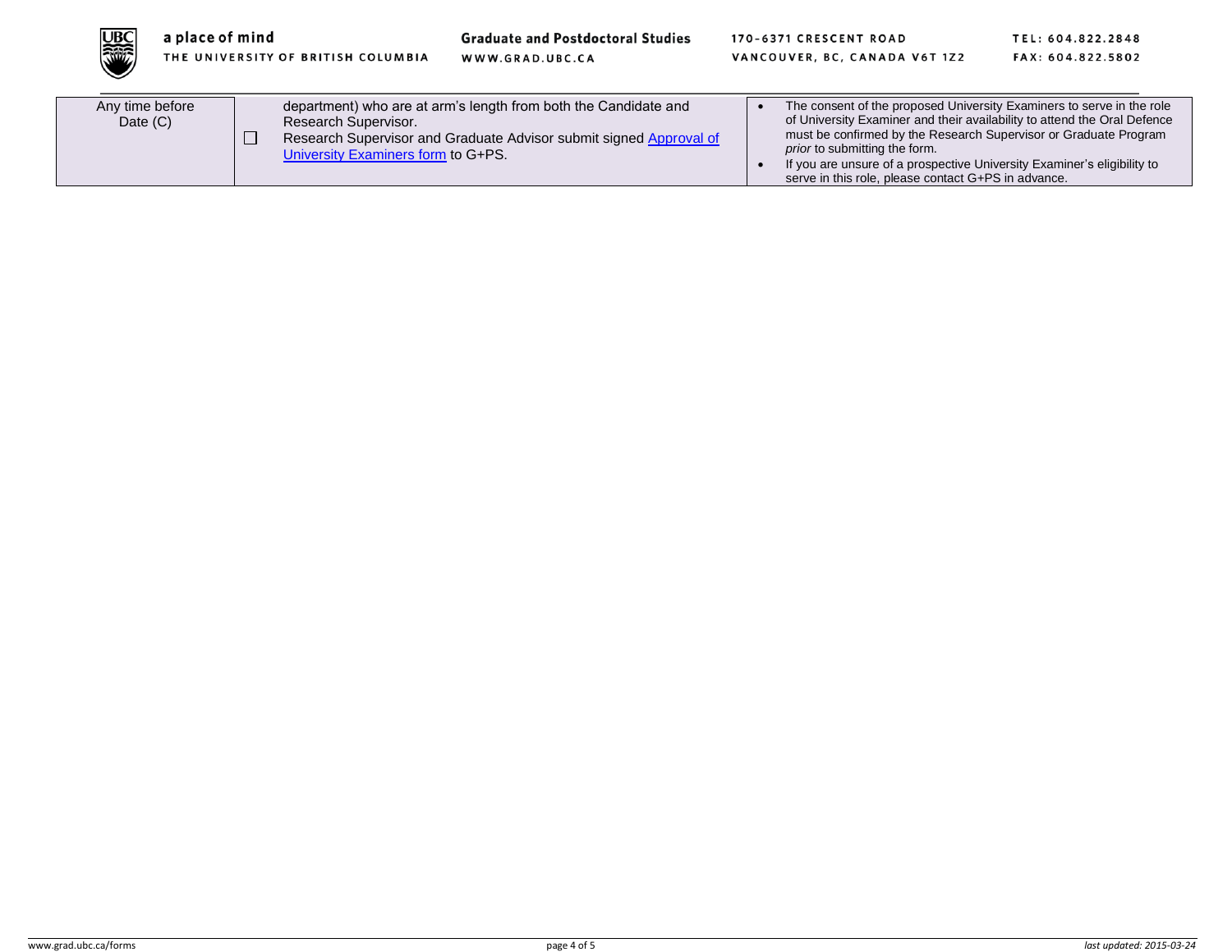

**Graduate and Postdoctoral Studies** 

WWW.GRAD.UBC.CA

170-6371 CRESCENT ROAD VANCOUVER, BC, CANADA V6T 1Z2 TEL: 604.822.2848 FAX: 604.822.5802

| Any time before<br>Date $(C)$ | department) who are at arm's length from both the Candidate and<br>Research Supervisor.<br>Research Supervisor and Graduate Advisor submit signed Approval of<br>University Examiners form to G+PS. | The consent of the proposed University Examiners to serve in the role<br>of University Examiner and their availability to attend the Oral Defence<br>must be confirmed by the Research Supervisor or Graduate Program<br><i>prior</i> to submitting the form.<br>If you are unsure of a prospective University Examiner's eligibility to<br>serve in this role, please contact G+PS in advance. |
|-------------------------------|-----------------------------------------------------------------------------------------------------------------------------------------------------------------------------------------------------|-------------------------------------------------------------------------------------------------------------------------------------------------------------------------------------------------------------------------------------------------------------------------------------------------------------------------------------------------------------------------------------------------|